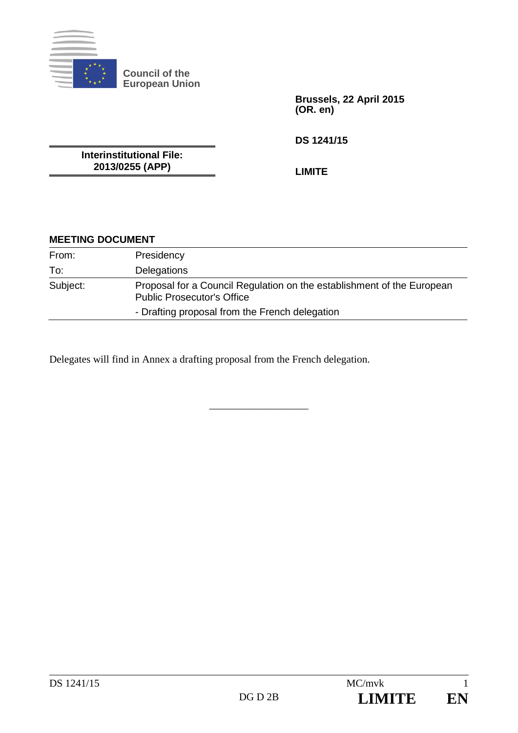

**Brussels, 22 April 2015 (OR. en)** 

**DS 1241/15** 

**Interinstitutional File: 2013/0255 (APP)** 

**LIMITE** 

## **MEETING DOCUMENT**

| From:    | Presidency                                                                                                  |
|----------|-------------------------------------------------------------------------------------------------------------|
| To:      | Delegations                                                                                                 |
| Subject: | Proposal for a Council Regulation on the establishment of the European<br><b>Public Prosecutor's Office</b> |
|          | - Drafting proposal from the French delegation                                                              |

\_\_\_\_\_\_\_\_\_\_\_\_\_\_\_\_\_\_\_

Delegates will find in Annex a drafting proposal from the French delegation.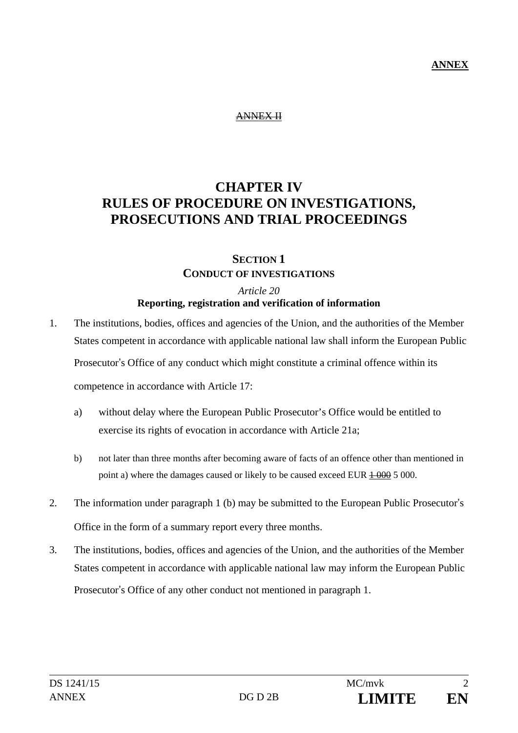### **ANNEX**

#### ANNEX II

# **CHAPTER IV RULES OF PROCEDURE ON INVESTIGATIONS, PROSECUTIONS AND TRIAL PROCEEDINGS**

## **SECTION 1 CONDUCT OF INVESTIGATIONS**

#### *Article 20*  **Reporting, registration and verification of information**

- 1. The institutions, bodies, offices and agencies of the Union, and the authorities of the Member States competent in accordance with applicable national law shall inform the European Public Prosecutor's Office of any conduct which might constitute a criminal offence within its competence in accordance with Article 17:
	- a) without delay where the European Public Prosecutor's Office would be entitled to exercise its rights of evocation in accordance with Article 21a;
	- b) not later than three months after becoming aware of facts of an offence other than mentioned in point a) where the damages caused or likely to be caused exceed EUR  $\frac{1000}{1000}$  5 000.
- 2. The information under paragraph 1 (b) may be submitted to the European Public Prosecutor's Office in the form of a summary report every three months.
- 3. The institutions, bodies, offices and agencies of the Union, and the authorities of the Member States competent in accordance with applicable national law may inform the European Public Prosecutor's Office of any other conduct not mentioned in paragraph 1.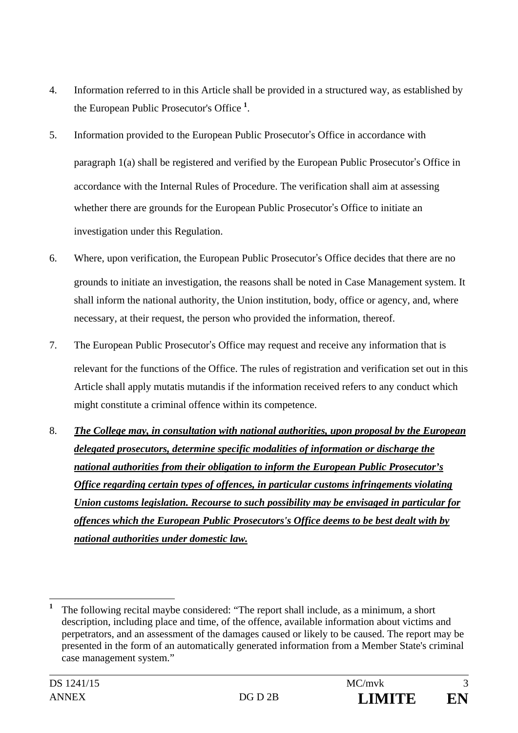- 4. Information referred to in this Article shall be provided in a structured way, as established by the European Public Prosecutor's Office **<sup>1</sup>** .
- 5. Information provided to the European Public Prosecutor's Office in accordance with paragraph 1(a) shall be registered and verified by the European Public Prosecutor's Office in accordance with the Internal Rules of Procedure. The verification shall aim at assessing whether there are grounds for the European Public Prosecutor's Office to initiate an investigation under this Regulation.
- 6. Where, upon verification, the European Public Prosecutor's Office decides that there are no grounds to initiate an investigation, the reasons shall be noted in Case Management system. It shall inform the national authority, the Union institution, body, office or agency, and, where necessary, at their request, the person who provided the information, thereof.
- 7. The European Public Prosecutor's Office may request and receive any information that is relevant for the functions of the Office. The rules of registration and verification set out in this Article shall apply mutatis mutandis if the information received refers to any conduct which might constitute a criminal offence within its competence.
- 8. *The College may, in consultation with national authorities, upon proposal by the European delegated prosecutors, determine specific modalities of information or discharge the national authorities from their obligation to inform the European Public Prosecutor's Office regarding certain types of offences, in particular customs infringements violating Union customs legislation. Recourse to such possibility may be envisaged in particular for offences which the European Public Prosecutors's Office deems to be best dealt with by national authorities under domestic law.*

 $\overline{a}$ 

**<sup>1</sup>** The following recital maybe considered: "The report shall include, as a minimum, a short description, including place and time, of the offence, available information about victims and perpetrators, and an assessment of the damages caused or likely to be caused. The report may be presented in the form of an automatically generated information from a Member State's criminal case management system."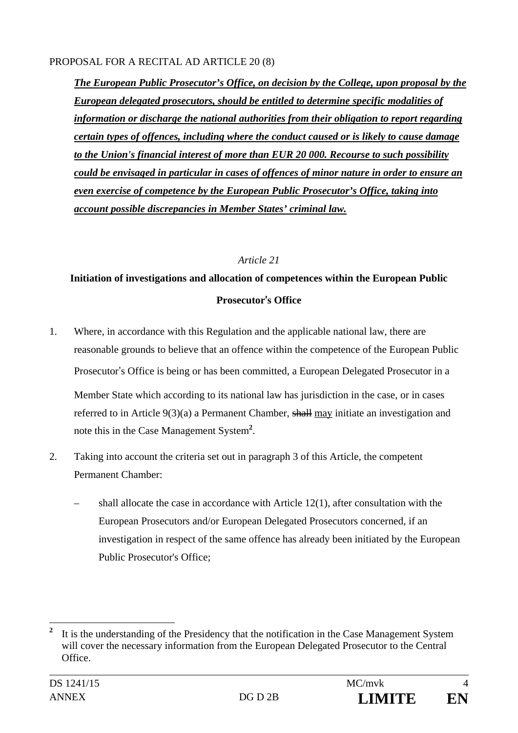### PROPOSAL FOR A RECITAL AD ARTICLE 20 (8)

*The European Public Prosecutor's Office, on decision by the College, upon proposal by the European delegated prosecutors, should be entitled to determine specific modalities of information or discharge the national authorities from their obligation to report regarding certain types of offences, including where the conduct caused or is likely to cause damage to the Union's financial interest of more than EUR 20 000. Recourse to such possibility could be envisaged in particular in cases of offences of minor nature in order to ensure an even exercise of competence by the European Public Prosecutor's Office, taking into account possible discrepancies in Member States' criminal law.* 

### *Article 21*

# **Initiation of investigations and allocation of competences within the European Public Prosecutor**'**s Office**

- 1. Where, in accordance with this Regulation and the applicable national law, there are reasonable grounds to believe that an offence within the competence of the European Public Prosecutor's Office is being or has been committed, a European Delegated Prosecutor in a Member State which according to its national law has jurisdiction in the case, or in cases referred to in Article 9(3)(a) a Permanent Chamber, shall may initiate an investigation and note this in the Case Management System**<sup>2</sup>** .
- 2. Taking into account the criteria set out in paragraph 3 of this Article, the competent Permanent Chamber:
	- shall allocate the case in accordance with Article 12(1), after consultation with the European Prosecutors and/or European Delegated Prosecutors concerned, if an investigation in respect of the same offence has already been initiated by the European Public Prosecutor's Office;

 $\overline{a}$ **2** It is the understanding of the Presidency that the notification in the Case Management System will cover the necessary information from the European Delegated Prosecutor to the Central **Office**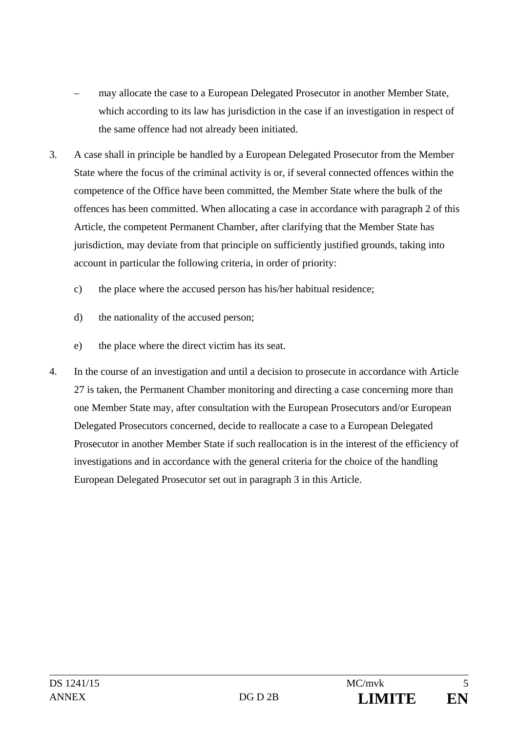- may allocate the case to a European Delegated Prosecutor in another Member State, which according to its law has jurisdiction in the case if an investigation in respect of the same offence had not already been initiated.
- 3. A case shall in principle be handled by a European Delegated Prosecutor from the Member State where the focus of the criminal activity is or, if several connected offences within the competence of the Office have been committed, the Member State where the bulk of the offences has been committed. When allocating a case in accordance with paragraph 2 of this Article, the competent Permanent Chamber, after clarifying that the Member State has jurisdiction, may deviate from that principle on sufficiently justified grounds, taking into account in particular the following criteria, in order of priority:
	- c) the place where the accused person has his/her habitual residence;
	- d) the nationality of the accused person;
	- e) the place where the direct victim has its seat.
- 4. In the course of an investigation and until a decision to prosecute in accordance with Article 27 is taken, the Permanent Chamber monitoring and directing a case concerning more than one Member State may, after consultation with the European Prosecutors and/or European Delegated Prosecutors concerned, decide to reallocate a case to a European Delegated Prosecutor in another Member State if such reallocation is in the interest of the efficiency of investigations and in accordance with the general criteria for the choice of the handling European Delegated Prosecutor set out in paragraph 3 in this Article.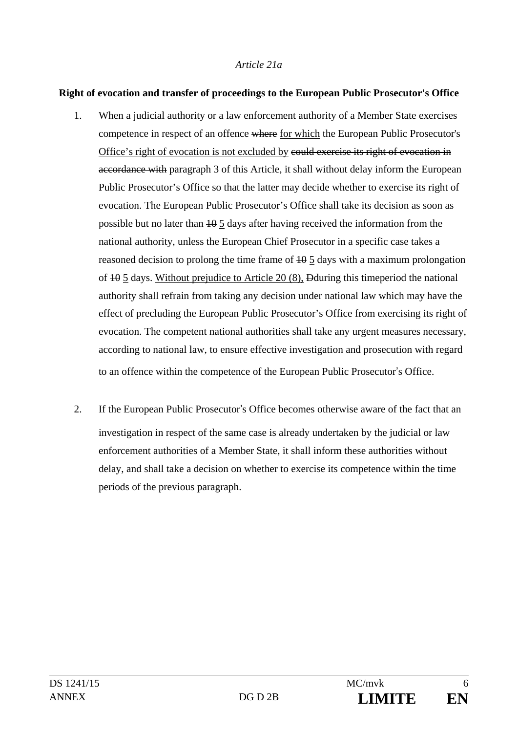#### *Article 21a*

#### **Right of evocation and transfer of proceedings to the European Public Prosecutor's Office**

- 1. When a judicial authority or a law enforcement authority of a Member State exercises competence in respect of an offence where for which the European Public Prosecutor's Office's right of evocation is not excluded by could exercise its right of evocation in accordance with paragraph 3 of this Article, it shall without delay inform the European Public Prosecutor's Office so that the latter may decide whether to exercise its right of evocation. The European Public Prosecutor's Office shall take its decision as soon as possible but no later than 10 5 days after having received the information from the national authority, unless the European Chief Prosecutor in a specific case takes a reasoned decision to prolong the time frame of  $\frac{10}{5}$  days with a maximum prolongation of 10 5 days. Without prejudice to Article 20 (8), Dduring this timeperiod the national authority shall refrain from taking any decision under national law which may have the effect of precluding the European Public Prosecutor's Office from exercising its right of evocation. The competent national authorities shall take any urgent measures necessary, according to national law, to ensure effective investigation and prosecution with regard to an offence within the competence of the European Public Prosecutor's Office.
- 2. If the European Public Prosecutor's Office becomes otherwise aware of the fact that an investigation in respect of the same case is already undertaken by the judicial or law enforcement authorities of a Member State, it shall inform these authorities without delay, and shall take a decision on whether to exercise its competence within the time periods of the previous paragraph.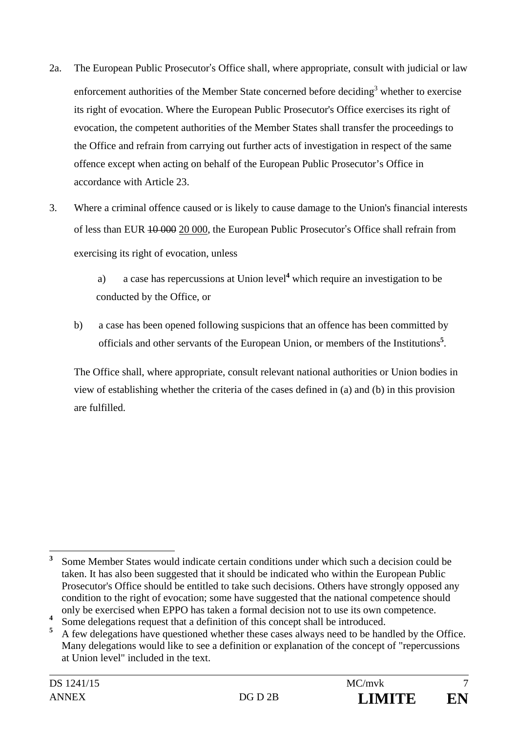- 2a. The European Public Prosecutor's Office shall, where appropriate, consult with judicial or law enforcement authorities of the Member State concerned before deciding<sup>3</sup> whether to exercise its right of evocation. Where the European Public Prosecutor's Office exercises its right of evocation, the competent authorities of the Member States shall transfer the proceedings to the Office and refrain from carrying out further acts of investigation in respect of the same offence except when acting on behalf of the European Public Prosecutor's Office in accordance with Article 23.
- 3. Where a criminal offence caused or is likely to cause damage to the Union's financial interests of less than EUR 10 000 20 000, the European Public Prosecutor's Office shall refrain from exercising its right of evocation, unless

a) a case has repercussions at Union level**<sup>4</sup>** which require an investigation to be conducted by the Office, or

b) a case has been opened following suspicions that an offence has been committed by officials and other servants of the European Union, or members of the Institutions**<sup>5</sup>** .

The Office shall, where appropriate, consult relevant national authorities or Union bodies in view of establishing whether the criteria of the cases defined in (a) and (b) in this provision are fulfilled.

 $\overline{a}$ **3** Some Member States would indicate certain conditions under which such a decision could be taken. It has also been suggested that it should be indicated who within the European Public Prosecutor's Office should be entitled to take such decisions. Others have strongly opposed any condition to the right of evocation; some have suggested that the national competence should only be exercised when EPPO has taken a formal decision not to use its own competence.

**<sup>4</sup>** Some delegations request that a definition of this concept shall be introduced.

**<sup>5</sup>** A few delegations have questioned whether these cases always need to be handled by the Office. Many delegations would like to see a definition or explanation of the concept of "repercussions at Union level" included in the text.